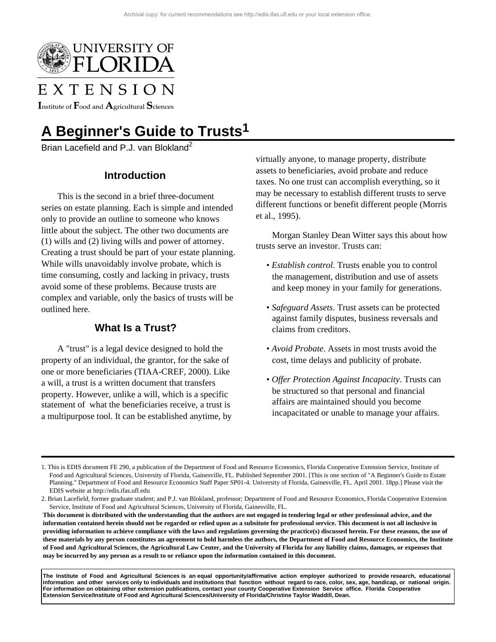

# EXTENSION

Institute of  $\rm F$ ood and  $\rm A$ gricultural  $\rm S$ ciences

## **A Beginner's Guide to Trusts1**

Brian Lacefield and P.J. van Blokland<sup>2</sup>

## **Introduction**

This is the second in a brief three-document series on estate planning. Each is simple and intended only to provide an outline to someone who knows little about the subject. The other two documents are (1) wills and (2) living wills and power of attorney. Creating a trust should be part of your estate planning. While wills unavoidably involve probate, which is time consuming, costly and lacking in privacy, trusts avoid some of these problems. Because trusts are complex and variable, only the basics of trusts will be outlined here.

## **What Is a Trust?**

A "trust" is a legal device designed to hold the property of an individual, the grantor, for the sake of one or more beneficiaries (TIAA-CREF, 2000). Like a will, a trust is a written document that transfers property. However, unlike a will, which is a specific statement of what the beneficiaries receive, a trust is a multipurpose tool. It can be established anytime, by virtually anyone, to manage property, distribute assets to beneficiaries, avoid probate and reduce taxes. No one trust can accomplish everything, so it may be necessary to establish different trusts to serve different functions or benefit different people (Morris et al., 1995).

Morgan Stanley Dean Witter says this about how trusts serve an investor. Trusts can:

- *Establish control*. Trusts enable you to control the management, distribution and use of assets and keep money in your family for generations.
- *Safeguard Assets*. Trust assets can be protected against family disputes, business reversals and claims from creditors.
- *Avoid Probate*. Assets in most trusts avoid the cost, time delays and publicity of probate.
- *Offer Protection Against Incapacity*. Trusts can be structured so that personal and financial affairs are maintained should you become incapacitated or unable to manage your affairs.

**The Institute of Food and Agricultural Sciences is an equal opportunity/affirmative action employer authorized to provide research, educational information and other services only to individuals and institutions that function without regard to race, color, sex, age, handicap, or national origin. For information on obtaining other extension publications, contact your county Cooperative Extension Service office. Florida Cooperative Extension Service/Institute of Food and Agricultural Sciences/University of Florida/Christine Taylor Waddill, Dean.**

<sup>1.</sup> This is EDIS document FE 290, a publication of the Department of Food and Resource Economics, Florida Cooperative Extension Service, Institute of Food and Agricultural Sciences, University of Florida, Gainesville, FL. Published September 2001. [This is one section of "A Beginner's Guide to Estate Planning." Department of Food and Resource Economics Staff Paper SP01-4. University of Florida, Gainesville, FL. April 2001. 18pp.] Please visit the EDIS website at http://edis.ifas.ufl.edu

<sup>2.</sup> Brian Lacefield, former graduate student; and P.J. van Blokland, professor; Department of Food and Resource Economics, Florida Cooperative Extension Service, Institute of Food and Agricultural Sciences, University of Florida, Gainesville, FL.

**This document is distributed with the understanding that the authors are not engaged in tendering legal or other professional advice, and the information contained herein should not be regarded or relied upon as a subsitute for professional service. This document is not all inclusive in providing information to achieve compliance with the laws and regulations governing the practice(s) discussed herein. For these reasons, the use of these materials by any person constitutes an agreement to hold harmless the authors, the Department of Food and Resource Economics, the Institute of Food and Agricultural Sciences, the Agricultural Law Center, and the University of Florida for any liability claims, damages, or expenses that may be incurred by any person as a result to or reliance upon the information contained in this document.**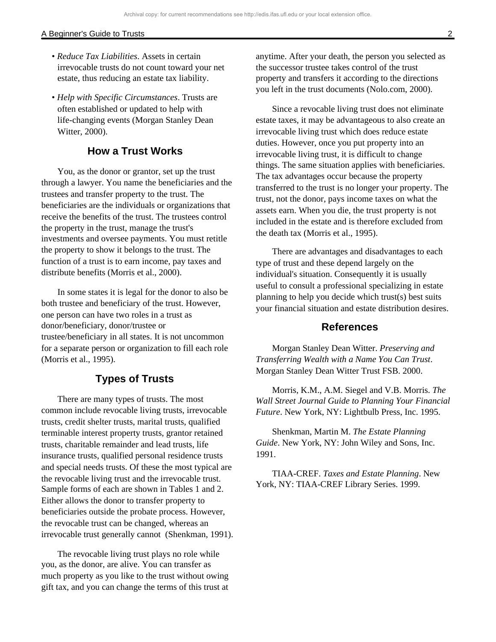#### A Beginner's Guide to Trusts 2

- *Reduce Tax Liabilities*. Assets in certain irrevocable trusts do not count toward your net estate, thus reducing an estate tax liability.
- *Help with Specific Circumstances*. Trusts are often established or updated to help with life-changing events (Morgan Stanley Dean Witter, 2000).

### **How a Trust Works**

You, as the donor or grantor, set up the trust through a lawyer. You name the beneficiaries and the trustees and transfer property to the trust. The beneficiaries are the individuals or organizations that receive the benefits of the trust. The trustees control the property in the trust, manage the trust's investments and oversee payments. You must retitle the property to show it belongs to the trust. The function of a trust is to earn income, pay taxes and distribute benefits (Morris et al., 2000).

In some states it is legal for the donor to also be both trustee and beneficiary of the trust. However, one person can have two roles in a trust as donor/beneficiary, donor/trustee or trustee/beneficiary in all states. It is not uncommon for a separate person or organization to fill each role (Morris et al., 1995).

## **Types of Trusts**

There are many types of trusts. The most common include revocable living trusts, irrevocable trusts, credit shelter trusts, marital trusts, qualified terminable interest property trusts, grantor retained trusts, charitable remainder and lead trusts, life insurance trusts, qualified personal residence trusts and special needs trusts. Of these the most typical are the revocable living trust and the irrevocable trust. Sample forms of each are shown in Tables 1 and 2. Either allows the donor to transfer property to beneficiaries outside the probate process. However, the revocable trust can be changed, whereas an irrevocable trust generally cannot (Shenkman, 1991).

The revocable living trust plays no role while you, as the donor, are alive. You can transfer as much property as you like to the trust without owing gift tax, and you can change the terms of this trust at anytime. After your death, the person you selected as the successor trustee takes control of the trust property and transfers it according to the directions you left in the trust documents (Nolo.com, 2000).

Since a revocable living trust does not eliminate estate taxes, it may be advantageous to also create an irrevocable living trust which does reduce estate duties. However, once you put property into an irrevocable living trust, it is difficult to change things. The same situation applies with beneficiaries. The tax advantages occur because the property transferred to the trust is no longer your property. The trust, not the donor, pays income taxes on what the assets earn. When you die, the trust property is not included in the estate and is therefore excluded from the death tax (Morris et al., 1995).

There are advantages and disadvantages to each type of trust and these depend largely on the individual's situation. Consequently it is usually useful to consult a professional specializing in estate planning to help you decide which trust(s) best suits your financial situation and estate distribution desires.

#### **References**

Morgan Stanley Dean Witter. *Preserving and Transferring Wealth with a Name You Can Trust*. Morgan Stanley Dean Witter Trust FSB. 2000.

Morris, K.M., A.M. Siegel and V.B. Morris. *The Wall Street Journal Guide to Planning Your Financial Future*. New York, NY: Lightbulb Press, Inc. 1995.

Shenkman, Martin M. *The Estate Planning Guide*. New York, NY: John Wiley and Sons, Inc. 1991.

TIAA-CREF. *Taxes and Estate Planning*. New York, NY: TIAA-CREF Library Series. 1999.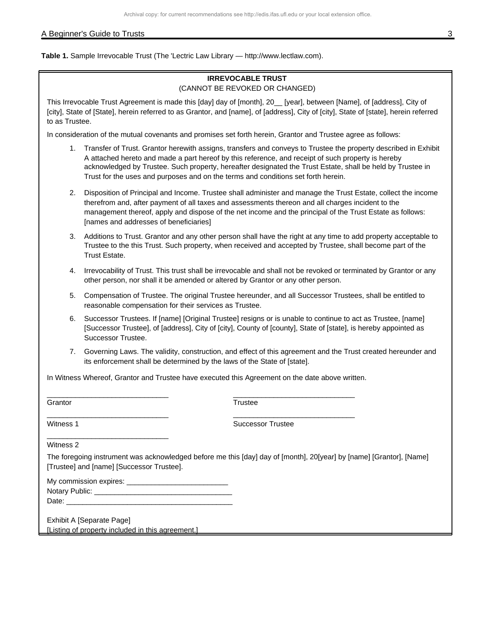#### A Beginner's Guide to Trusts 3

**Table 1.** Sample Irrevocable Trust (The 'Lectric Law Library — http://www.lectlaw.com).

#### **IRREVOCABLE TRUST** (CANNOT BE REVOKED OR CHANGED)

This Irrevocable Trust Agreement is made this [day] day of [month], 20\_\_ [year], between [Name], of [address], City of [city], State of [State], herein referred to as Grantor, and [name], of [address], City of [city], State of [state], herein referred to as Trustee.

In consideration of the mutual covenants and promises set forth herein, Grantor and Trustee agree as follows:

- 1. Transfer of Trust. Grantor herewith assigns, transfers and conveys to Trustee the property described in Exhibit A attached hereto and made a part hereof by this reference, and receipt of such property is hereby acknowledged by Trustee. Such property, hereafter designated the Trust Estate, shall be held by Trustee in Trust for the uses and purposes and on the terms and conditions set forth herein.
- 2. Disposition of Principal and Income. Trustee shall administer and manage the Trust Estate, collect the income therefrom and, after payment of all taxes and assessments thereon and all charges incident to the management thereof, apply and dispose of the net income and the principal of the Trust Estate as follows: [names and addresses of beneficiaries]
- 3. Additions to Trust. Grantor and any other person shall have the right at any time to add property acceptable to Trustee to the this Trust. Such property, when received and accepted by Trustee, shall become part of the Trust Estate.
- 4. Irrevocability of Trust. This trust shall be irrevocable and shall not be revoked or terminated by Grantor or any other person, nor shall it be amended or altered by Grantor or any other person.
- 5. Compensation of Trustee. The original Trustee hereunder, and all Successor Trustees, shall be entitled to reasonable compensation for their services as Trustee.
- 6. Successor Trustees. If [name] [Original Trustee] resigns or is unable to continue to act as Trustee, [name] [Successor Trustee], of [address], City of [city], County of [county], State of [state], is hereby appointed as Successor Trustee.
- 7. Governing Laws. The validity, construction, and effect of this agreement and the Trust created hereunder and its enforcement shall be determined by the laws of the State of [state].

In Witness Whereof, Grantor and Trustee have executed this Agreement on the date above written.

**Grantor** 

**Trustee** 

Witness 1

Successor Trustee

\_\_\_\_\_\_\_\_\_\_\_\_\_\_\_\_\_\_\_\_\_\_\_\_\_\_\_\_\_\_

\_\_\_\_\_\_\_\_\_\_\_\_\_\_\_\_\_\_\_\_\_\_\_\_\_\_\_\_\_\_

Witness 2

The foregoing instrument was acknowledged before me this [day] day of [month], 20[year] by [name] [Grantor], [Name] [Trustee] and [name] [Successor Trustee].

| My commission expires: |  |
|------------------------|--|
| Notary Public:         |  |
| Date:                  |  |

Exhibit A [Separate Page] [Listing of property included in this agreement.]

\_\_\_\_\_\_\_\_\_\_\_\_\_\_\_\_\_\_\_\_\_\_\_\_\_\_\_\_\_\_

\_\_\_\_\_\_\_\_\_\_\_\_\_\_\_\_\_\_\_\_\_\_\_\_\_\_\_\_\_\_

\_\_\_\_\_\_\_\_\_\_\_\_\_\_\_\_\_\_\_\_\_\_\_\_\_\_\_\_\_\_